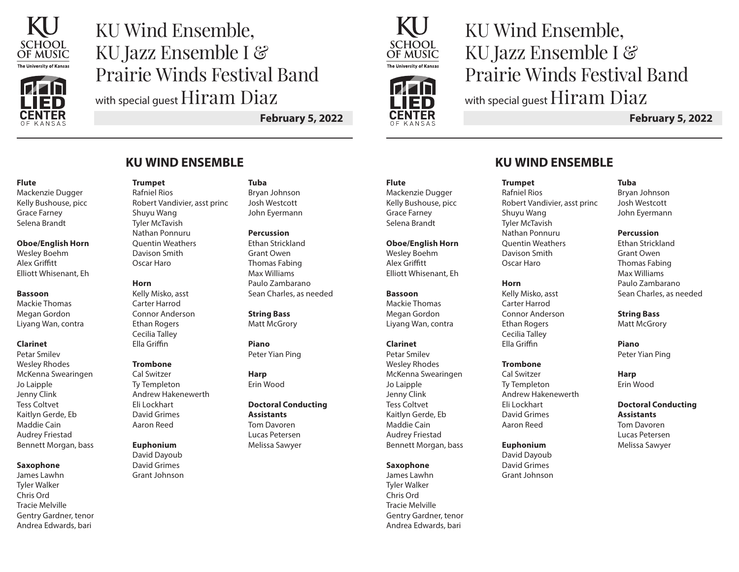

# KU Wind Ensemble, KU Jazz Ensemble I & Prairie Winds Festival Band with special quest Hiram Diaz

**February 5, 2022**

#### **Flute**

Mackenzie Dugger Kelly Bushouse, picc Grace Farney Selena Brandt

#### **Oboe/English Horn**

Wesley Boehm Alex Griffitt Elliott Whisenant, Eh

#### **Bassoon**

Mackie Thomas Megan Gordon Liyang Wan, contra

#### **Clarinet**

Petar Smilev Wesley Rhodes McKenna Swearingen Jo Laipple Jenny Clink Tess Coltvet Kaitlyn Gerde, Eb Maddie Cain Audrey Friestad Bennett Morgan, bass

#### **Saxophone**

James Lawhn Tyler Walker Chris Ord Tracie Melville Gentry Gardner, tenor Andrea Edwards, bari

## **KU WIND ENSEMBLE**

**Trumpet** Rafniel Rios Robert Vandivier, asst princ Shuyu Wang Tyler McTavish Nathan Ponnuru Quentin Weathers Davison Smith Oscar Haro

#### **Horn**

Kelly Misko, asst Carter Harrod Connor Anderson Ethan Rogers Cecilia Talley Ella Griffin

#### **Trombone**

Cal Switzer Ty Templeton Andrew Hakenewerth Eli Lockhart David Grimes Aaron Reed

#### **Euphonium**

David Dayoub David Grimes Grant Johnson

#### **Tuba**

Bryan Johnson Josh Westcott John Eyermann

**Percussion** Ethan Strickland Grant Owen Thomas Fabing Max Williams Paulo Zambarano Sean Charles, as needed

**String Bass** Matt McGrory

**Piano** Peter Yian Ping

**Harp** Erin Wood

**Doctoral Conducting Assistants** Tom Davoren Lucas Petersen Melissa Sawyer

## **Flute**

Mackenzie Dugger Kelly Bushouse, picc Grace Farney Selena Brandt

#### **Oboe/English Horn**

Wesley Boehm Alex Griffitt Elliott Whisenant, Eh

#### **Bassoon**

Mackie Thomas Megan Gordon Liyang Wan, contra

#### **Clarinet**

Petar Smilev Wesley Rhodes McKenna Swearingen Jo Laipple Jenny Clink Tess Coltvet Kaitlyn Gerde, Eb Maddie Cain Audrey Friestad Bennett Morgan, bass

#### **Saxophone**

James Lawhn Tyler Walker Chris Ord Tracie Melville Gentry Gardner, tenor Andrea Edwards, bari

KU Wind Ensemble, KU Jazz Ensemble I & Prairie Winds Festival Band with special guest Hiram Diaz

**February 5, 2022**

## **KU WIND ENSEMBLE**

Robert Vandivier, asst princ

**Trumpet** Rafniel Rios

Shuyu Wang Tyler McTavish Nathan Ponnuru Quentin Weathers Davison Smith Oscar Haro

**Horn**

Kelly Misko, asst Carter Harrod Connor Anderson Ethan Rogers Cecilia Talley Ella Griffin

**Trombone** Cal Switzer Ty Templeton Andrew Hakenewerth

Eli Lockhart David Grimes Aaron Reed

**Euphonium** David Dayoub David Grimes Grant Johnson

#### **Tuba**

Bryan Johnson Josh Westcott John Eyermann

#### **Percussion**

Ethan Strickland Grant Owen Thomas Fabing Max Williams Paulo Zambarano Sean Charles, as needed

#### **String Bass**

Matt McGrory

**Piano** Peter Yian Ping

**Harp** Erin Wood

### **Doctoral Conducting Assistants**

Tom Davoren Lucas Petersen Melissa Sawyer